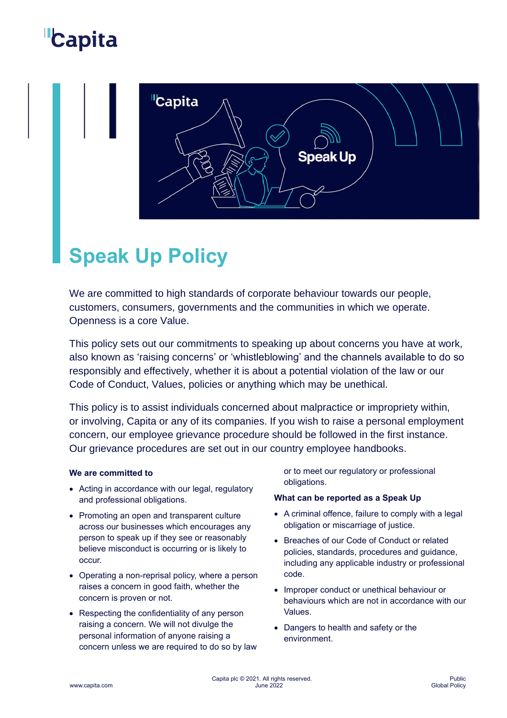## Capita



### **Speak Up Policy**

We are committed to high standards of corporate behaviour towards our people, customers, consumers, governments and the communities in which we operate. Openness is a core Value.

This policy sets out our commitments to speaking up about concerns you have at work, also known as 'raising concerns' or 'whistleblowing' and the channels available to do so responsibly and effectively, whether it is about a potential violation of the law or our Code of Conduct, Values, policies or anything which may be unethical.

This policy is to assist individuals concerned about malpractice or impropriety within, or involving, Capita or any of its companies. If you wish to raise a personal employment concern, our employee grievance procedure should be followed in the first instance. Our grievance procedures are set out in our country employee handbooks.

#### **We are committed to**

- Acting in accordance with our legal, regulatory and professional obligations.
- Promoting an open and transparent culture across our businesses which encourages any person to speak up if they see or reasonably believe misconduct is occurring or is likely to occur.
- Operating a non-reprisal policy, where a person raises a concern in good faith, whether the concern is proven or not.
- Respecting the confidentiality of any person raising a concern. We will not divulge the personal information of anyone raising a concern unless we are required to do so by law

or to meet our regulatory or professional obligations.

#### **What can be reported as a Speak Up**

- A criminal offence, failure to comply with a legal obligation or miscarriage of justice.
- Breaches of our Code of Conduct or related policies, standards, procedures and guidance, including any applicable industry or professional code.
- Improper conduct or unethical behaviour or behaviours which are not in accordance with our Values.
- Dangers to health and safety or the environment.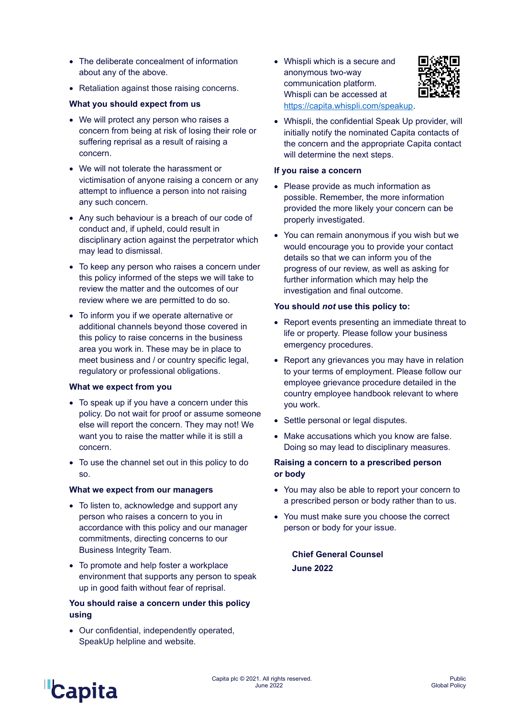- The deliberate concealment of information about any of the above.
- Retaliation against those raising concerns.

#### **What you should expect from us**

- We will protect any person who raises a concern from being at risk of losing their role or suffering reprisal as a result of raising a concern.
- We will not tolerate the harassment or victimisation of anyone raising a concern or any attempt to influence a person into not raising any such concern.
- Any such behaviour is a breach of our code of conduct and, if upheld, could result in disciplinary action against the perpetrator which may lead to dismissal.
- To keep any person who raises a concern under this policy informed of the steps we will take to review the matter and the outcomes of our review where we are permitted to do so.
- To inform you if we operate alternative or additional channels beyond those covered in this policy to raise concerns in the business area you work in. These may be in place to meet business and / or country specific legal, regulatory or professional obligations.

#### **What we expect from you**

- To speak up if you have a concern under this policy. Do not wait for proof or assume someone else will report the concern. They may not! We want you to raise the matter while it is still a concern.
- To use the channel set out in this policy to do so.

#### **What we expect from our managers**

- To listen to, acknowledge and support any person who raises a concern to you in accordance with this policy and our manager commitments, directing concerns to our Business Integrity Team.
- To promote and help foster a workplace environment that supports any person to speak up in good faith without fear of reprisal.

#### **You should raise a concern under this policy using**

• Our confidential, independently operated, SpeakUp helpline and website.

• Whispli which is a secure and anonymous two-way communication platform. Whispli can be accessed at [https://capita.whispli.com/speakup.](https://capita.whispli.com/speakup)



• Whispli, the confidential Speak Up provider, will initially notify the nominated Capita contacts of the concern and the appropriate Capita contact will determine the next steps.

#### **If you raise a concern**

- Please provide as much information as possible. Remember, the more information provided the more likely your concern can be properly investigated.
- You can remain anonymous if you wish but we would encourage you to provide your contact details so that we can inform you of the progress of our review, as well as asking for further information which may help the investigation and final outcome.

#### **You should** *not* **use this policy to:**

- Report events presenting an immediate threat to life or property. Please follow your business emergency procedures.
- Report any grievances you may have in relation to your terms of employment. Please follow our employee grievance procedure detailed in the country employee handbook relevant to where you work.
- Settle personal or legal disputes.
- Make accusations which you know are false. Doing so may lead to disciplinary measures.

#### **Raising a concern to a prescribed person or body**

- You may also be able to report your concern to a prescribed person or body rather than to us.
- You must make sure you choose the correct person or body for your issue.

**Chief General Counsel June 2022**

# **Capita**